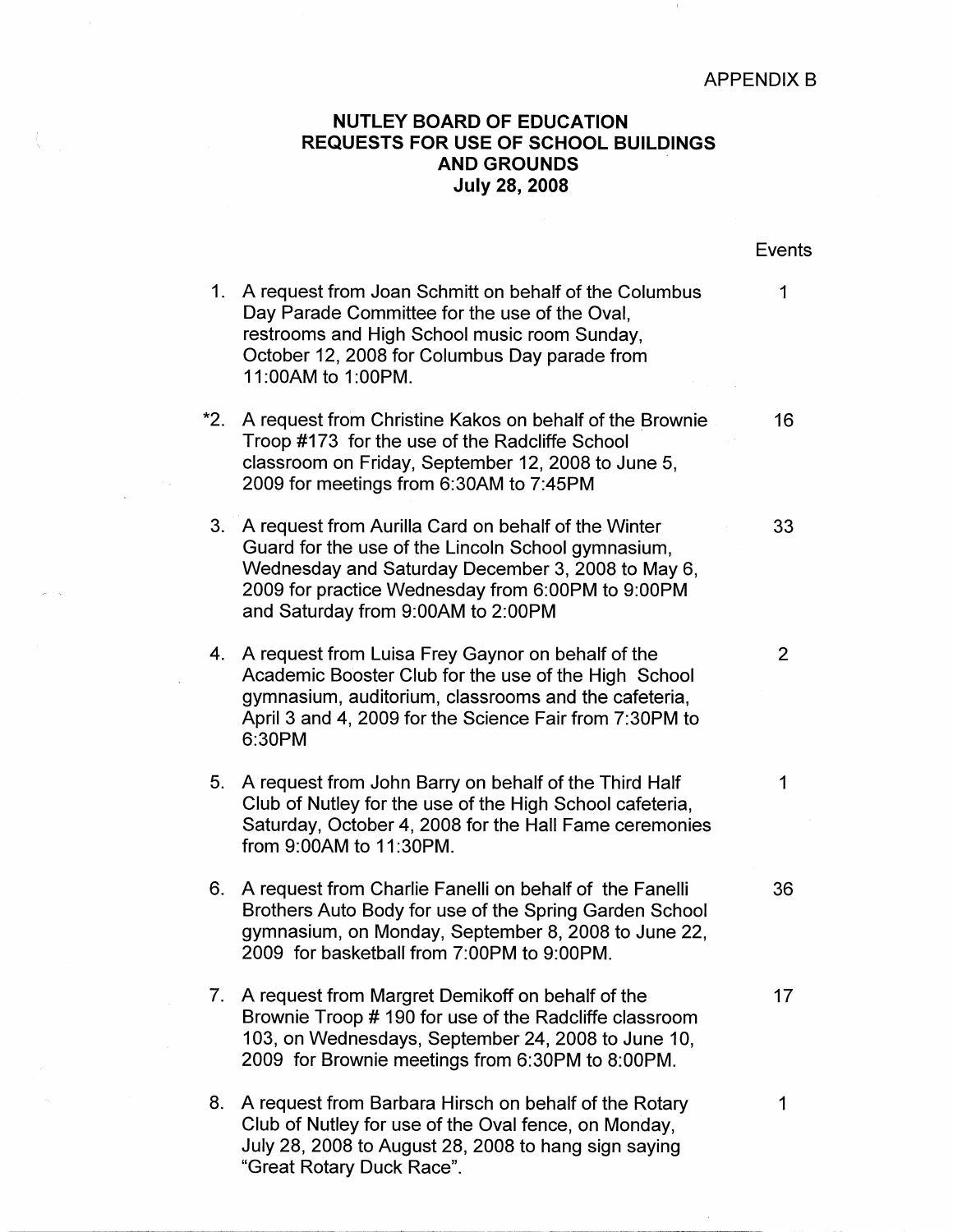## APPENDIX B

 $\pm$ 

## **NUTLEY BOARD OF EDUCATION REQUESTS FOR USE OF SCHOOL BUILDINGS AND GROUNDS July 28, 2008**

|             |                                                                                                                                                                                                                                                           | Events         |
|-------------|-----------------------------------------------------------------------------------------------------------------------------------------------------------------------------------------------------------------------------------------------------------|----------------|
| $1_{\cdot}$ | A request from Joan Schmitt on behalf of the Columbus<br>Day Parade Committee for the use of the Oval,<br>restrooms and High School music room Sunday,<br>October 12, 2008 for Columbus Day parade from<br>11:00AM to 1:00PM.                             | 1              |
| $*2.$       | A request from Christine Kakos on behalf of the Brownie<br>Troop #173 for the use of the Radcliffe School<br>classroom on Friday, September 12, 2008 to June 5,<br>2009 for meetings from 6:30AM to 7:45PM                                                | 16             |
| 3.          | A request from Aurilla Card on behalf of the Winter<br>Guard for the use of the Lincoln School gymnasium,<br>Wednesday and Saturday December 3, 2008 to May 6,<br>2009 for practice Wednesday from 6:00PM to 9:00PM<br>and Saturday from 9:00AM to 2:00PM | 33             |
|             | 4. A request from Luisa Frey Gaynor on behalf of the<br>Academic Booster Club for the use of the High School<br>gymnasium, auditorium, classrooms and the cafeteria,<br>April 3 and 4, 2009 for the Science Fair from 7:30PM to<br>6:30PM                 | $\overline{2}$ |
| 5.          | A request from John Barry on behalf of the Third Half<br>Club of Nutley for the use of the High School cafeteria,<br>Saturday, October 4, 2008 for the Hall Fame ceremonies<br>from 9:00AM to 11:30PM.                                                    | 1              |
| 6.          | A request from Charlie Fanelli on behalf of the Fanelli<br>Brothers Auto Body for use of the Spring Garden School<br>gymnasium, on Monday, September 8, 2008 to June 22,<br>2009 for basketball from 7:00PM to 9:00PM.                                    | 36             |
| 7.          | A request from Margret Demikoff on behalf of the<br>Brownie Troop # 190 for use of the Radcliffe classroom<br>103, on Wednesdays, September 24, 2008 to June 10,<br>2009 for Brownie meetings from 6:30PM to 8:00PM.                                      | 17             |
| 8.          | A request from Barbara Hirsch on behalf of the Rotary<br>Club of Nutley for use of the Oval fence, on Monday,<br>July 28, 2008 to August 28, 2008 to hang sign saying<br>"Great Rotary Duck Race".                                                        | 1              |

 $\epsilon_{\rm{ex}}$ 

÷.